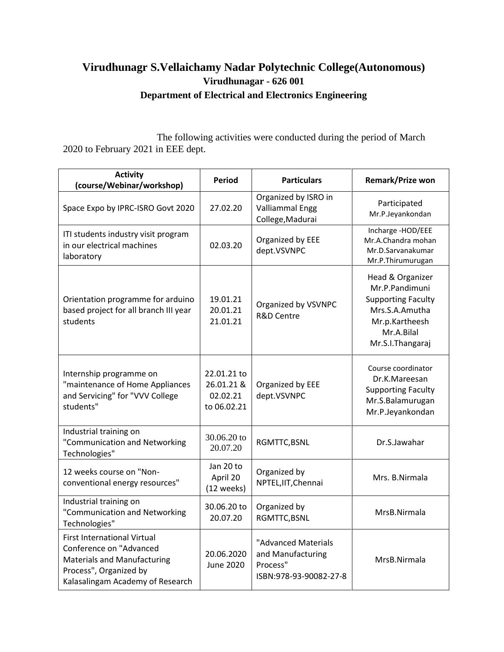## **Virudhunagr S.Vellaichamy Nadar Polytechnic College(Autonomous) Virudhunagar - 626 001 Department of Electrical and Electronics Engineering**

The following activities were conducted during the period of March 2020 to February 2021 in EEE dept.

| <b>Activity</b><br>(course/Webinar/workshop)                                                                                                                      | <b>Period</b>                                        | <b>Particulars</b>                                                             | <b>Remark/Prize won</b>                                                                                                               |
|-------------------------------------------------------------------------------------------------------------------------------------------------------------------|------------------------------------------------------|--------------------------------------------------------------------------------|---------------------------------------------------------------------------------------------------------------------------------------|
| Space Expo by IPRC-ISRO Govt 2020                                                                                                                                 | 27.02.20                                             | Organized by ISRO in<br><b>Valliammal Engg</b><br>College, Madurai             | Participated<br>Mr.P.Jeyankondan                                                                                                      |
| ITI students industry visit program<br>in our electrical machines<br>laboratory                                                                                   | 02.03.20                                             | Organized by EEE<br>dept.VSVNPC                                                | Incharge -HOD/EEE<br>Mr.A.Chandra mohan<br>Mr.D.Sarvanakumar<br>Mr.P.Thirumurugan                                                     |
| Orientation programme for arduino<br>based project for all branch III year<br>students                                                                            | 19.01.21<br>20.01.21<br>21.01.21                     | Organized by VSVNPC<br><b>R&amp;D Centre</b>                                   | Head & Organizer<br>Mr.P.Pandimuni<br><b>Supporting Faculty</b><br>Mrs.S.A.Amutha<br>Mr.p.Kartheesh<br>Mr.A.Bilal<br>Mr.S.I.Thangaraj |
| Internship programme on<br>"maintenance of Home Appliances<br>and Servicing" for "VVV College<br>students"                                                        | 22.01.21 to<br>26.01.21 &<br>02.02.21<br>to 06.02.21 | Organized by EEE<br>dept.VSVNPC                                                | Course coordinator<br>Dr.K.Mareesan<br><b>Supporting Faculty</b><br>Mr.S.Balamurugan<br>Mr.P.Jeyankondan                              |
| Industrial training on<br>"Communication and Networking<br>Technologies"                                                                                          | 30.06.20 to<br>20.07.20                              | RGMTTC, BSNL                                                                   | Dr.S.Jawahar                                                                                                                          |
| 12 weeks course on "Non-<br>conventional energy resources"                                                                                                        | Jan 20 to<br>April 20<br>(12 weeks)                  | Organized by<br>NPTEL, IIT, Chennai                                            | Mrs. B.Nirmala                                                                                                                        |
| Industrial training on<br>"Communication and Networking<br>Technologies"                                                                                          | 30.06.20 to<br>20.07.20                              | Organized by<br>RGMTTC, BSNL                                                   | MrsB.Nirmala                                                                                                                          |
| <b>First International Virtual</b><br>Conference on "Advanced<br><b>Materials and Manufacturing</b><br>Process", Organized by<br>Kalasalingam Academy of Research | 20.06.2020<br><b>June 2020</b>                       | "Advanced Materials<br>and Manufacturing<br>Process"<br>ISBN:978-93-90082-27-8 | MrsB.Nirmala                                                                                                                          |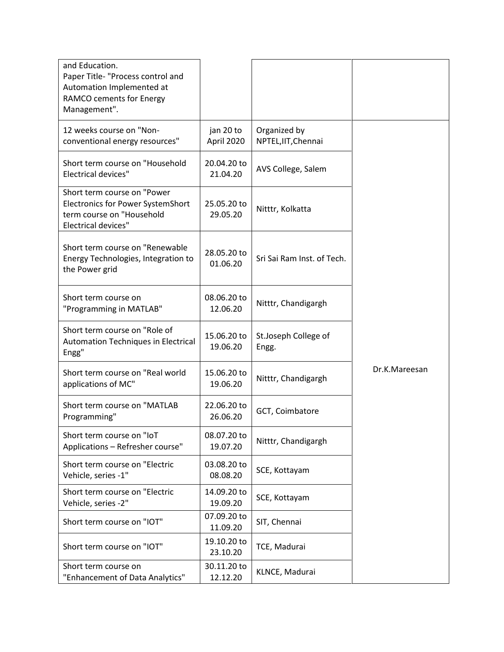| and Education.<br>Paper Title- "Process control and<br>Automation Implemented at<br>RAMCO cements for Energy<br>Management".       |                         |                                     |               |
|------------------------------------------------------------------------------------------------------------------------------------|-------------------------|-------------------------------------|---------------|
| 12 weeks course on "Non-<br>conventional energy resources"                                                                         | jan 20 to<br>April 2020 | Organized by<br>NPTEL, IIT, Chennai |               |
| Short term course on "Household<br><b>Electrical devices"</b>                                                                      | 20.04.20 to<br>21.04.20 | AVS College, Salem                  |               |
| Short term course on "Power<br><b>Electronics for Power SystemShort</b><br>term course on "Household<br><b>Electrical devices"</b> | 25.05.20 to<br>29.05.20 | Nitttr, Kolkatta                    |               |
| Short term course on "Renewable<br>Energy Technologies, Integration to<br>the Power grid                                           | 28.05.20 to<br>01.06.20 | Sri Sai Ram Inst. of Tech.          |               |
| Short term course on<br>"Programming in MATLAB"                                                                                    | 08.06.20 to<br>12.06.20 | Nitttr, Chandigargh                 |               |
| Short term course on "Role of<br>Automation Techniques in Electrical<br>Engg"                                                      | 15.06.20 to<br>19.06.20 | St.Joseph College of<br>Engg.       |               |
| Short term course on "Real world<br>applications of MC"                                                                            | 15.06.20 to<br>19.06.20 | Nitttr, Chandigargh                 | Dr.K.Mareesan |
| Short term course on "MATLAB<br>Programming"                                                                                       | 22.06.20 to<br>26.06.20 | GCT, Coimbatore                     |               |
| Short term course on "IoT<br>Applications - Refresher course"                                                                      | 08.07.20 to<br>19.07.20 | Nitttr, Chandigargh                 |               |
| Short term course on "Electric<br>Vehicle, series -1"                                                                              | 03.08.20 to<br>08.08.20 | SCE, Kottayam                       |               |
| Short term course on "Electric<br>Vehicle, series -2"                                                                              | 14.09.20 to<br>19.09.20 | SCE, Kottayam                       |               |
| Short term course on "IOT"                                                                                                         | 07.09.20 to<br>11.09.20 | SIT, Chennai                        |               |
| Short term course on "IOT"                                                                                                         | 19.10.20 to<br>23.10.20 | TCE, Madurai                        |               |
| Short term course on<br>"Enhancement of Data Analytics"                                                                            | 30.11.20 to<br>12.12.20 | KLNCE, Madurai                      |               |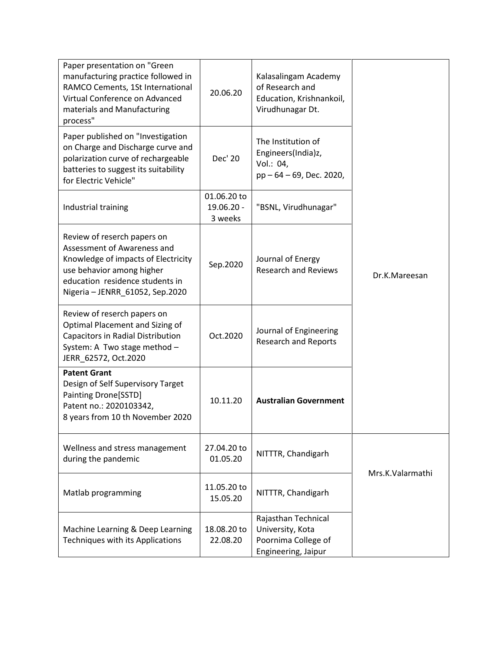| Paper presentation on "Green<br>manufacturing practice followed in<br>RAMCO Cements, 1St International<br>Virtual Conference on Advanced<br>materials and Manufacturing<br>process"                  | 20.06.20                             | Kalasalingam Academy<br>of Research and<br>Education, Krishnankoil,<br>Virudhunagar Dt. |                  |
|------------------------------------------------------------------------------------------------------------------------------------------------------------------------------------------------------|--------------------------------------|-----------------------------------------------------------------------------------------|------------------|
| Paper published on "Investigation<br>on Charge and Discharge curve and<br>polarization curve of rechargeable<br>batteries to suggest its suitability<br>for Electric Vehicle"                        | Dec' 20                              | The Institution of<br>Engineers(India)z,<br>Vol.: 04,<br>pp - 64 - 69, Dec. 2020,       |                  |
| Industrial training                                                                                                                                                                                  | 01.06.20 to<br>19.06.20 -<br>3 weeks | "BSNL, Virudhunagar"                                                                    |                  |
| Review of reserch papers on<br>Assessment of Awareness and<br>Knowledge of impacts of Electricity<br>use behavior among higher<br>education residence students in<br>Nigeria - JENRR_61052, Sep.2020 | Sep.2020                             | Journal of Energy<br><b>Research and Reviews</b>                                        | Dr.K.Mareesan    |
| Review of reserch papers on<br>Optimal Placement and Sizing of<br><b>Capacitors in Radial Distribution</b><br>System: A Two stage method -<br>JERR_62572, Oct.2020                                   | Oct.2020                             | Journal of Engineering<br><b>Research and Reports</b>                                   |                  |
| <b>Patent Grant</b><br>Design of Self Supervisory Target<br>Painting Drone[SSTD]<br>Patent no.: 2020103342,<br>8 years from 10 th November 2020                                                      | 10.11.20                             | <b>Australian Government</b>                                                            |                  |
| Wellness and stress management<br>during the pandemic                                                                                                                                                | 27.04.20 to<br>01.05.20              | NITTTR, Chandigarh                                                                      | Mrs.K.Valarmathi |
| Matlab programming                                                                                                                                                                                   | 11.05.20 to<br>15.05.20              | NITTTR, Chandigarh                                                                      |                  |
| Machine Learning & Deep Learning<br>Techniques with its Applications                                                                                                                                 | 18.08.20 to<br>22.08.20              | Rajasthan Technical<br>University, Kota<br>Poornima College of<br>Engineering, Jaipur   |                  |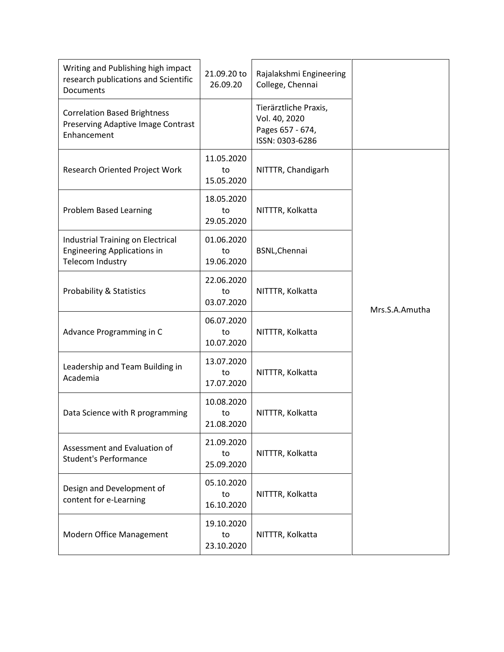| Writing and Publishing high impact<br>research publications and Scientific<br><b>Documents</b> | 21.09.20 to<br>26.09.20        | Rajalakshmi Engineering<br>College, Chennai                                   |                |
|------------------------------------------------------------------------------------------------|--------------------------------|-------------------------------------------------------------------------------|----------------|
| <b>Correlation Based Brightness</b><br>Preserving Adaptive Image Contrast<br>Enhancement       |                                | Tierärztliche Praxis,<br>Vol. 40, 2020<br>Pages 657 - 674,<br>ISSN: 0303-6286 |                |
| Research Oriented Project Work                                                                 | 11.05.2020<br>to<br>15.05.2020 | NITTTR, Chandigarh                                                            |                |
| <b>Problem Based Learning</b>                                                                  | 18.05.2020<br>to<br>29.05.2020 | NITTTR, Kolkatta                                                              |                |
| Industrial Training on Electrical<br><b>Engineering Applications in</b><br>Telecom Industry    | 01.06.2020<br>to<br>19.06.2020 | <b>BSNL, Chennai</b>                                                          |                |
| <b>Probability &amp; Statistics</b>                                                            | 22.06.2020<br>to<br>03.07.2020 | NITTTR, Kolkatta                                                              | Mrs.S.A.Amutha |
| Advance Programming in C                                                                       | 06.07.2020<br>to<br>10.07.2020 | NITTTR, Kolkatta                                                              |                |
| Leadership and Team Building in<br>Academia                                                    | 13.07.2020<br>to<br>17.07.2020 | NITTTR, Kolkatta                                                              |                |
| Data Science with R programming                                                                | 10.08.2020<br>to<br>21.08.2020 | NITTTR, Kolkatta                                                              |                |
| Assessment and Evaluation of<br><b>Student's Performance</b>                                   | 21.09.2020<br>to<br>25.09.2020 | NITTTR, Kolkatta                                                              |                |
| Design and Development of<br>content for e-Learning                                            | 05.10.2020<br>to<br>16.10.2020 | NITTTR, Kolkatta                                                              |                |
| Modern Office Management                                                                       | 19.10.2020<br>to<br>23.10.2020 | NITTTR, Kolkatta                                                              |                |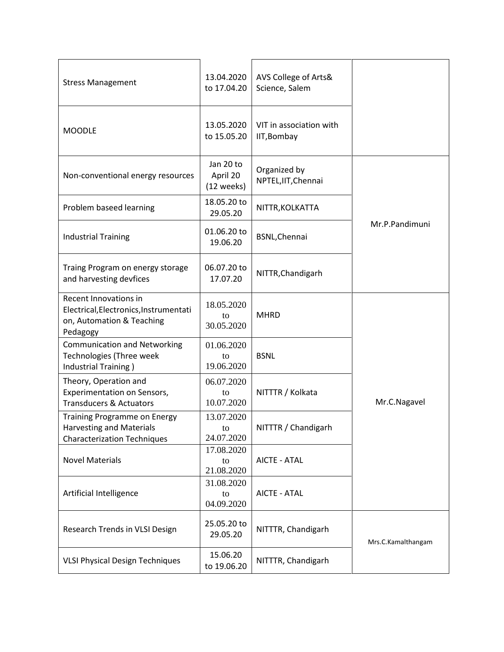| <b>Stress Management</b>                                                                                     | 13.04.2020<br>to 17.04.20           | AVS College of Arts&<br>Science, Salem |                    |
|--------------------------------------------------------------------------------------------------------------|-------------------------------------|----------------------------------------|--------------------|
| <b>MOODLE</b>                                                                                                | 13.05.2020<br>to 15.05.20           | VIT in association with<br>IIT, Bombay |                    |
| Non-conventional energy resources                                                                            | Jan 20 to<br>April 20<br>(12 weeks) | Organized by<br>NPTEL, IIT, Chennai    |                    |
| Problem baseed learning                                                                                      | 18.05.20 to<br>29.05.20             | NITTR, KOLKATTA                        |                    |
| <b>Industrial Training</b>                                                                                   | 01.06.20 to<br>19.06.20             | <b>BSNL, Chennai</b>                   | Mr.P.Pandimuni     |
| Traing Program on energy storage<br>and harvesting devfices                                                  | 06.07.20 to<br>17.07.20             | NITTR, Chandigarh                      |                    |
| Recent Innovations in<br>Electrical, Electronics, Instrumentati<br>on, Automation & Teaching<br>Pedagogy     | 18.05.2020<br>to<br>30.05.2020      | <b>MHRD</b>                            |                    |
| <b>Communication and Networking</b><br>Technologies (Three week<br>Industrial Training)                      | 01.06.2020<br>to<br>19.06.2020      | <b>BSNL</b>                            |                    |
| Theory, Operation and<br>Experimentation on Sensors,<br><b>Transducers &amp; Actuators</b>                   | 06.07.2020<br>to<br>10.07.2020      | NITTTR / Kolkata                       | Mr.C.Nagavel       |
| <b>Training Programme on Energy</b><br><b>Harvesting and Materials</b><br><b>Characterization Techniques</b> | 13.07.2020<br>to<br>24.07.2020      | NITTTR / Chandigarh                    |                    |
| <b>Novel Materials</b>                                                                                       | 17.08.2020<br>to<br>21.08.2020      | <b>AICTE - ATAL</b>                    |                    |
| Artificial Intelligence                                                                                      | 31.08.2020<br>to<br>04.09.2020      | <b>AICTE - ATAL</b>                    |                    |
| Research Trends in VLSI Design                                                                               | 25.05.20 to<br>29.05.20             | NITTTR, Chandigarh                     | Mrs.C.Kamalthangam |
| <b>VLSI Physical Design Techniques</b>                                                                       | 15.06.20<br>to 19.06.20             | NITTTR, Chandigarh                     |                    |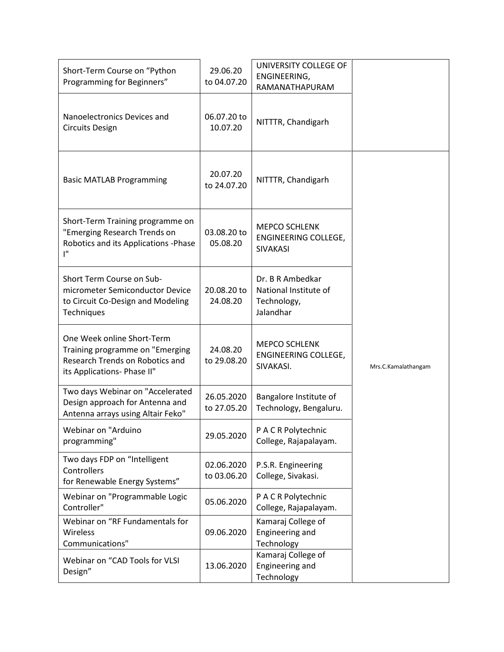| Short-Term Course on "Python<br>Programming for Beginners"                                                                      | 29.06.20<br>to 04.07.20   | UNIVERSITY COLLEGE OF<br>ENGINEERING,<br>RAMANATHAPURAM               |                     |
|---------------------------------------------------------------------------------------------------------------------------------|---------------------------|-----------------------------------------------------------------------|---------------------|
| Nanoelectronics Devices and<br><b>Circuits Design</b>                                                                           | 06.07.20 to<br>10.07.20   | NITTTR, Chandigarh                                                    |                     |
| <b>Basic MATLAB Programming</b>                                                                                                 | 20.07.20<br>to 24.07.20   | NITTTR, Chandigarh                                                    |                     |
| Short-Term Training programme on<br>"Emerging Research Trends on<br>Robotics and its Applications - Phase<br>ľ"                 | 03.08.20 to<br>05.08.20   | <b>MEPCO SCHLENK</b><br>ENGINEERING COLLEGE,<br><b>SIVAKASI</b>       |                     |
| Short Term Course on Sub-<br>micrometer Semiconductor Device<br>to Circuit Co-Design and Modeling<br>Techniques                 | 20.08.20 to<br>24.08.20   | Dr. B R Ambedkar<br>National Institute of<br>Technology,<br>Jalandhar |                     |
| One Week online Short-Term<br>Training programme on "Emerging<br>Research Trends on Robotics and<br>its Applications- Phase II" | 24.08.20<br>to 29.08.20   | <b>MEPCO SCHLENK</b><br>ENGINEERING COLLEGE,<br>SIVAKASI.             | Mrs.C.Kamalathangam |
| Two days Webinar on "Accelerated<br>Design approach for Antenna and<br>Antenna arrays using Altair Feko"                        | 26.05.2020<br>to 27.05.20 | Bangalore Institute of<br>Technology, Bengaluru.                      |                     |
| Webinar on "Arduino<br>programming"                                                                                             | 29.05.2020                | P A C R Polytechnic<br>College, Rajapalayam.                          |                     |
| Two days FDP on "Intelligent<br>Controllers<br>for Renewable Energy Systems"                                                    | 02.06.2020<br>to 03.06.20 | P.S.R. Engineering<br>College, Sivakasi.                              |                     |
| Webinar on "Programmable Logic<br>Controller"                                                                                   | 05.06.2020                | P A C R Polytechnic<br>College, Rajapalayam.                          |                     |
| Webinar on "RF Fundamentals for<br>Wireless<br>Communications"                                                                  | 09.06.2020                | Kamaraj College of<br>Engineering and<br>Technology                   |                     |
| Webinar on "CAD Tools for VLSI<br>Design"                                                                                       | 13.06.2020                | Kamaraj College of<br>Engineering and<br>Technology                   |                     |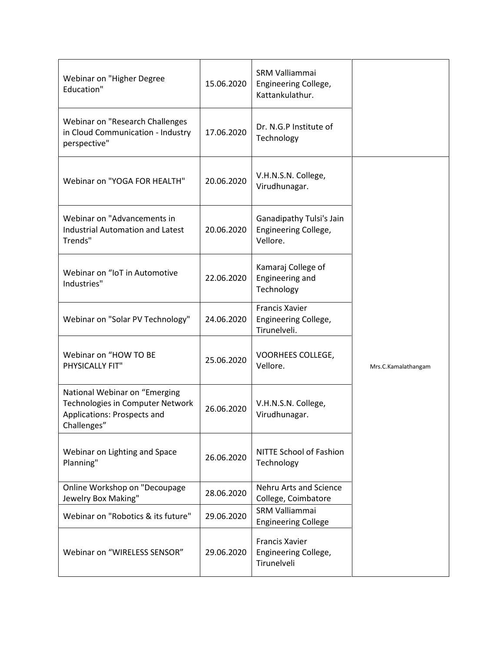| Webinar on "Higher Degree<br>Education"                                                                         | 15.06.2020 | SRM Valliammai<br>Engineering College,<br>Kattankulathur.     |                     |
|-----------------------------------------------------------------------------------------------------------------|------------|---------------------------------------------------------------|---------------------|
| Webinar on "Research Challenges<br>in Cloud Communication - Industry<br>perspective"                            | 17.06.2020 | Dr. N.G.P Institute of<br>Technology                          |                     |
| Webinar on "YOGA FOR HEALTH"                                                                                    | 20.06.2020 | V.H.N.S.N. College,<br>Virudhunagar.                          |                     |
| Webinar on "Advancements in<br><b>Industrial Automation and Latest</b><br>Trends"                               | 20.06.2020 | Ganadipathy Tulsi's Jain<br>Engineering College,<br>Vellore.  |                     |
| Webinar on "IoT in Automotive<br>Industries"                                                                    | 22.06.2020 | Kamaraj College of<br>Engineering and<br>Technology           |                     |
| Webinar on "Solar PV Technology"                                                                                | 24.06.2020 | <b>Francis Xavier</b><br>Engineering College,<br>Tirunelveli. |                     |
| Webinar on "HOW TO BE<br>PHYSICALLY FIT"                                                                        | 25.06.2020 | VOORHEES COLLEGE,<br>Vellore.                                 | Mrs.C.Kamalathangam |
| National Webinar on "Emerging<br>Technologies in Computer Network<br>Applications: Prospects and<br>Challenges" | 26.06.2020 | V.H.N.S.N. College,<br>Virudhunagar.                          |                     |
| Webinar on Lighting and Space<br>Planning"                                                                      | 26.06.2020 | NITTE School of Fashion<br>Technology                         |                     |
| Online Workshop on "Decoupage<br>Jewelry Box Making"                                                            | 28.06.2020 | <b>Nehru Arts and Science</b><br>College, Coimbatore          |                     |
| Webinar on "Robotics & its future"                                                                              | 29.06.2020 | SRM Valliammai<br><b>Engineering College</b>                  |                     |
| Webinar on "WIRELESS SENSOR"                                                                                    | 29.06.2020 | <b>Francis Xavier</b><br>Engineering College,<br>Tirunelveli  |                     |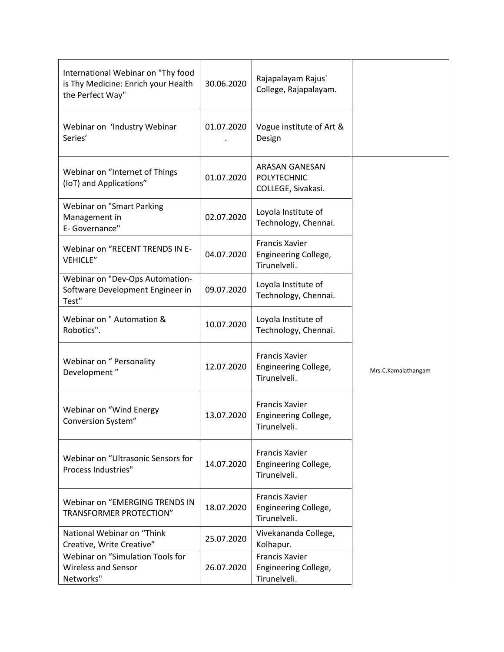| International Webinar on "Thy food<br>is Thy Medicine: Enrich your Health<br>the Perfect Way" | 30.06.2020 | Rajapalayam Rajus'<br>College, Rajapalayam.                       |                     |
|-----------------------------------------------------------------------------------------------|------------|-------------------------------------------------------------------|---------------------|
| Webinar on 'Industry Webinar<br>Series'                                                       | 01.07.2020 | Vogue institute of Art &<br>Design                                |                     |
| Webinar on "Internet of Things<br>(IoT) and Applications"                                     | 01.07.2020 | <b>ARASAN GANESAN</b><br><b>POLYTECHNIC</b><br>COLLEGE, Sivakasi. |                     |
| <b>Webinar on "Smart Parking</b><br>Management in<br>E- Governance"                           | 02.07.2020 | Loyola Institute of<br>Technology, Chennai.                       |                     |
| Webinar on "RECENT TRENDS IN E-<br><b>VEHICLE"</b>                                            | 04.07.2020 | <b>Francis Xavier</b><br>Engineering College,<br>Tirunelveli.     |                     |
| Webinar on "Dev-Ops Automation-<br>Software Development Engineer in<br>Test"                  | 09.07.2020 | Loyola Institute of<br>Technology, Chennai.                       |                     |
| Webinar on " Automation &<br>Robotics".                                                       | 10.07.2020 | Loyola Institute of<br>Technology, Chennai.                       |                     |
| Webinar on " Personality<br>Development"                                                      | 12.07.2020 | <b>Francis Xavier</b><br>Engineering College,<br>Tirunelveli.     | Mrs.C.Kamalathangam |
| Webinar on "Wind Energy<br>Conversion System"                                                 | 13.07.2020 | <b>Francis Xavier</b><br>Engineering College,<br>Tirunelveli.     |                     |
| Webinar on "Ultrasonic Sensors for<br>Process Industries"                                     | 14.07.2020 | <b>Francis Xavier</b><br>Engineering College,<br>Tirunelveli.     |                     |
| Webinar on "EMERGING TRENDS IN<br>TRANSFORMER PROTECTION"                                     | 18.07.2020 | <b>Francis Xavier</b><br>Engineering College,<br>Tirunelveli.     |                     |
| National Webinar on "Think<br>Creative, Write Creative"                                       | 25.07.2020 | Vivekananda College,<br>Kolhapur.                                 |                     |
| Webinar on "Simulation Tools for<br><b>Wireless and Sensor</b><br>Networks"                   | 26.07.2020 | <b>Francis Xavier</b><br>Engineering College,<br>Tirunelveli.     |                     |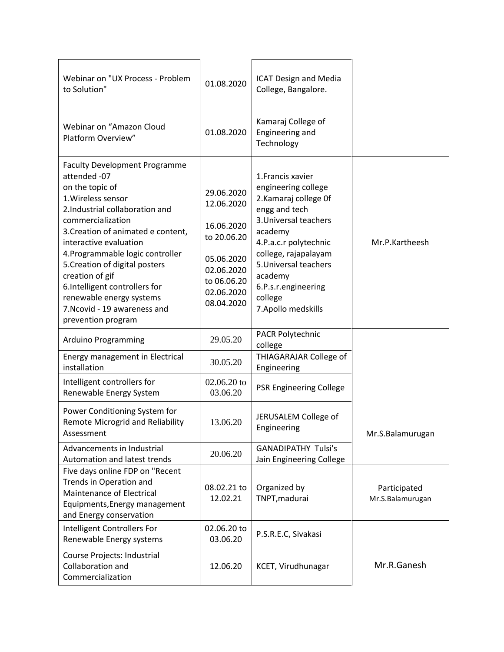| Webinar on "UX Process - Problem<br>to Solution"                                                                                                                                                                                                                                                                                                                                                                                 | 01.08.2020                                                                                                                   | <b>ICAT Design and Media</b><br>College, Bangalore.                                                                                                                                                                                                                  |                                  |
|----------------------------------------------------------------------------------------------------------------------------------------------------------------------------------------------------------------------------------------------------------------------------------------------------------------------------------------------------------------------------------------------------------------------------------|------------------------------------------------------------------------------------------------------------------------------|----------------------------------------------------------------------------------------------------------------------------------------------------------------------------------------------------------------------------------------------------------------------|----------------------------------|
| Webinar on "Amazon Cloud<br>Platform Overview"                                                                                                                                                                                                                                                                                                                                                                                   | 01.08.2020                                                                                                                   | Kamaraj College of<br>Engineering and<br>Technology                                                                                                                                                                                                                  |                                  |
| <b>Faculty Development Programme</b><br>attended -07<br>on the topic of<br>1. Wireless sensor<br>2.Industrial collaboration and<br>commercialization<br>3. Creation of animated e content,<br>interactive evaluation<br>4. Programmable logic controller<br>5. Creation of digital posters<br>creation of gif<br>6.Intelligent controllers for<br>renewable energy systems<br>7. Ncovid - 19 awareness and<br>prevention program | 29.06.2020<br>12.06.2020<br>16.06.2020<br>to 20.06.20<br>05.06.2020<br>02.06.2020<br>to 06.06.20<br>02.06.2020<br>08.04.2020 | 1. Francis xavier<br>engineering college<br>2. Kamaraj college Of<br>engg and tech<br>3. Universal teachers<br>academy<br>4.P.a.c.r polytechnic<br>college, rajapalayam<br>5. Universal teachers<br>academy<br>6.P.s.r.engineering<br>college<br>7. Apollo medskills | Mr.P.Kartheesh                   |
| Arduino Programming                                                                                                                                                                                                                                                                                                                                                                                                              | 29.05.20                                                                                                                     | <b>PACR Polytechnic</b><br>college                                                                                                                                                                                                                                   |                                  |
| Energy management in Electrical<br>installation                                                                                                                                                                                                                                                                                                                                                                                  | 30.05.20                                                                                                                     | THIAGARAJAR College of<br>Engineering                                                                                                                                                                                                                                |                                  |
| Intelligent controllers for<br>Renewable Energy System                                                                                                                                                                                                                                                                                                                                                                           | $02.06.20$ to<br>03.06.20                                                                                                    | <b>PSR Engineering College</b>                                                                                                                                                                                                                                       |                                  |
| Power Conditioning System for<br><b>Remote Microgrid and Reliability</b><br>Assessment                                                                                                                                                                                                                                                                                                                                           | 13.06.20                                                                                                                     | JERUSALEM College of<br>Engineering                                                                                                                                                                                                                                  | Mr.S.Balamurugan                 |
| Advancements in Industrial<br>Automation and latest trends                                                                                                                                                                                                                                                                                                                                                                       | 20.06.20                                                                                                                     | <b>GANADIPATHY Tulsi's</b><br>Jain Engineering College                                                                                                                                                                                                               |                                  |
| Five days online FDP on "Recent<br>Trends in Operation and<br>Maintenance of Electrical<br>Equipments, Energy management<br>and Energy conservation                                                                                                                                                                                                                                                                              | 08.02.21 to<br>12.02.21                                                                                                      | Organized by<br>TNPT, madurai                                                                                                                                                                                                                                        | Participated<br>Mr.S.Balamurugan |
| Intelligent Controllers For<br>Renewable Energy systems                                                                                                                                                                                                                                                                                                                                                                          | 02.06.20 to<br>03.06.20                                                                                                      | P.S.R.E.C, Sivakasi                                                                                                                                                                                                                                                  |                                  |
| Course Projects: Industrial<br>Collaboration and<br>Commercialization                                                                                                                                                                                                                                                                                                                                                            | 12.06.20                                                                                                                     | KCET, Virudhunagar                                                                                                                                                                                                                                                   | Mr.R.Ganesh                      |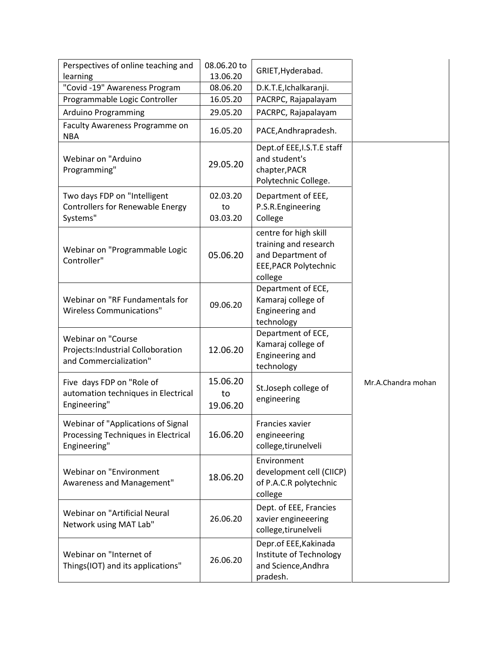| Perspectives of online teaching and<br>learning                                           | 08.06.20 to<br>13.06.20    | GRIET, Hyderabad.                                                                                       |                    |
|-------------------------------------------------------------------------------------------|----------------------------|---------------------------------------------------------------------------------------------------------|--------------------|
| "Covid -19" Awareness Program                                                             | 08.06.20                   | D.K.T.E,Ichalkaranji.                                                                                   |                    |
| Programmable Logic Controller                                                             | 16.05.20                   | PACRPC, Rajapalayam                                                                                     |                    |
| Arduino Programming                                                                       | 29.05.20                   | PACRPC, Rajapalayam                                                                                     |                    |
| Faculty Awareness Programme on<br><b>NBA</b>                                              | 16.05.20                   | PACE, And hrapradesh.                                                                                   |                    |
| Webinar on "Arduino<br>Programming"                                                       | 29.05.20                   | Dept.of EEE, I.S.T.E staff<br>and student's<br>chapter, PACR<br>Polytechnic College.                    |                    |
| Two days FDP on "Intelligent<br><b>Controllers for Renewable Energy</b><br>Systems"       | 02.03.20<br>to<br>03.03.20 | Department of EEE,<br>P.S.R.Engineering<br>College                                                      |                    |
| Webinar on "Programmable Logic<br>Controller"                                             | 05.06.20                   | centre for high skill<br>training and research<br>and Department of<br>EEE, PACR Polytechnic<br>college |                    |
| Webinar on "RF Fundamentals for<br><b>Wireless Communications"</b>                        | 09.06.20                   | Department of ECE,<br>Kamaraj college of<br>Engineering and<br>technology                               |                    |
| <b>Webinar on "Course</b><br>Projects: Industrial Colloboration<br>and Commercialization" | 12.06.20                   | Department of ECE,<br>Kamaraj college of<br>Engineering and<br>technology                               |                    |
| Five days FDP on "Role of<br>automation techniques in Electrical<br>Engineering"          | 15.06.20<br>to<br>19.06.20 | St.Joseph college of<br>engineering                                                                     | Mr.A.Chandra mohan |
| Webinar of "Applications of Signal<br>Processing Techniques in Electrical<br>Engineering" | 16.06.20                   | Francies xavier<br>engineeering<br>college, tirunelveli                                                 |                    |
| Webinar on "Environment<br>Awareness and Management"                                      | 18.06.20                   | Environment<br>development cell (CIICP)<br>of P.A.C.R polytechnic<br>college                            |                    |
| Webinar on "Artificial Neural<br>Network using MAT Lab"                                   | 26.06.20                   | Dept. of EEE, Francies<br>xavier engineeering<br>college, tirunelveli                                   |                    |
| Webinar on "Internet of<br>Things(IOT) and its applications"                              | 26.06.20                   | Depr.of EEE, Kakinada<br>Institute of Technology<br>and Science, Andhra<br>pradesh.                     |                    |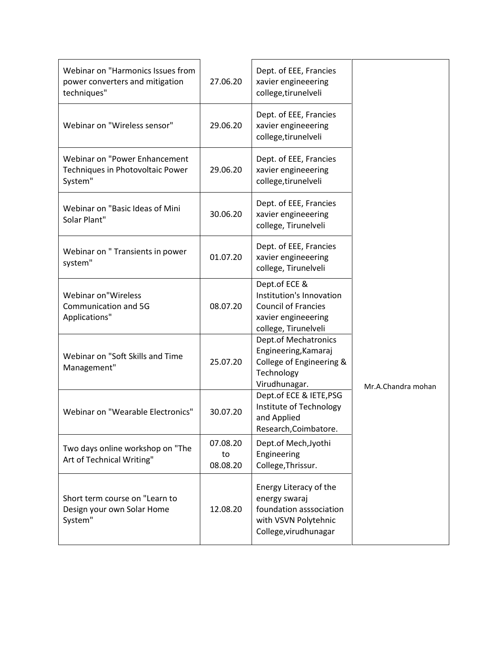| Webinar on "Harmonics Issues from<br>power converters and mitigation<br>techniques" | 27.06.20                   | Dept. of EEE, Francies<br>xavier engineeering<br>college, tirunelveli                                                  |                    |
|-------------------------------------------------------------------------------------|----------------------------|------------------------------------------------------------------------------------------------------------------------|--------------------|
| Webinar on "Wireless sensor"                                                        | 29.06.20                   | Dept. of EEE, Francies<br>xavier engineeering<br>college, tirunelveli                                                  |                    |
| Webinar on "Power Enhancement<br>Techniques in Photovoltaic Power<br>System"        | 29.06.20                   | Dept. of EEE, Francies<br>xavier engineeering<br>college, tirunelveli                                                  |                    |
| Webinar on "Basic Ideas of Mini<br>Solar Plant"                                     | 30.06.20                   | Dept. of EEE, Francies<br>xavier engineeering<br>college, Tirunelveli                                                  |                    |
| Webinar on " Transients in power<br>system"                                         | 01.07.20                   | Dept. of EEE, Francies<br>xavier engineeering<br>college, Tirunelveli                                                  |                    |
| Webinar on"Wireless<br>Communication and 5G<br>Applications"                        | 08.07.20                   | Dept.of ECE &<br>Institution's Innovation<br><b>Council of Francies</b><br>xavier engineeering<br>college, Tirunelveli |                    |
| Webinar on "Soft Skills and Time<br>Management"                                     | 25.07.20                   | <b>Dept.of Mechatronics</b><br>Engineering, Kamaraj<br>College of Engineering &<br>Technology<br>Virudhunagar.         | Mr.A.Chandra mohan |
| Webinar on "Wearable Electronics"                                                   | 30.07.20                   | Dept.of ECE & IETE, PSG<br>Institute of Technology<br>and Applied<br>Research, Coimbatore.                             |                    |
| Two days online workshop on "The<br>Art of Technical Writing"                       | 07.08.20<br>to<br>08.08.20 | Dept.of Mech, Jyothi<br>Engineering<br>College, Thrissur.                                                              |                    |
| Short term course on "Learn to<br>Design your own Solar Home<br>System"             | 12.08.20                   | Energy Literacy of the<br>energy swaraj<br>foundation asssociation<br>with VSVN Polytehnic<br>College, virudhunagar    |                    |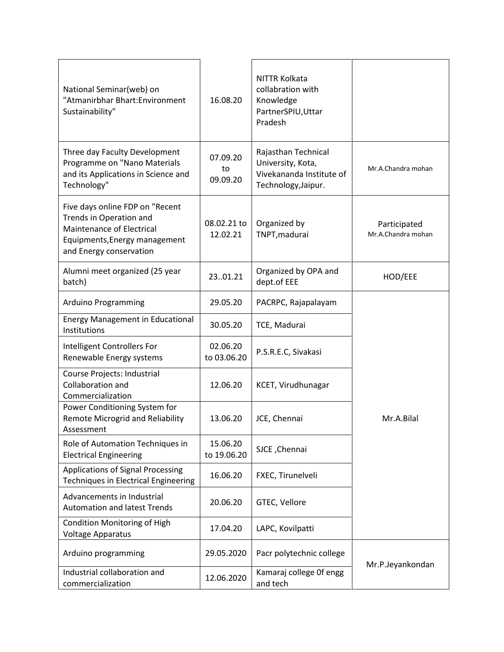| National Seminar(web) on<br>"Atmanirbhar Bhart:Environment<br>Sustainability"                                                                       | 16.08.20                   | NITTR Kolkata<br>collabration with<br>Knowledge<br>PartnerSPIU, Uttar<br>Pradesh            |                                    |
|-----------------------------------------------------------------------------------------------------------------------------------------------------|----------------------------|---------------------------------------------------------------------------------------------|------------------------------------|
| Three day Faculty Development<br>Programme on "Nano Materials<br>and its Applications in Science and<br>Technology"                                 | 07.09.20<br>to<br>09.09.20 | Rajasthan Technical<br>University, Kota,<br>Vivekananda Institute of<br>Technology, Jaipur. | Mr.A.Chandra mohan                 |
| Five days online FDP on "Recent<br>Trends in Operation and<br>Maintenance of Electrical<br>Equipments, Energy management<br>and Energy conservation | 08.02.21 to<br>12.02.21    | Organized by<br>TNPT, madurai                                                               | Participated<br>Mr.A.Chandra mohan |
| Alumni meet organized (25 year<br>batch)                                                                                                            | 2301.21                    | Organized by OPA and<br>dept.of EEE                                                         | HOD/EEE                            |
| Arduino Programming                                                                                                                                 | 29.05.20                   | PACRPC, Rajapalayam                                                                         |                                    |
| <b>Energy Management in Educational</b><br>Institutions                                                                                             | 30.05.20                   | TCE, Madurai                                                                                |                                    |
| Intelligent Controllers For<br>Renewable Energy systems                                                                                             | 02.06.20<br>to 03.06.20    | P.S.R.E.C, Sivakasi                                                                         |                                    |
| Course Projects: Industrial<br>Collaboration and<br>Commercialization                                                                               | 12.06.20                   | KCET, Virudhunagar                                                                          |                                    |
| Power Conditioning System for<br><b>Remote Microgrid and Reliability</b><br>Assessment                                                              | 13.06.20                   | JCE, Chennai                                                                                | Mr.A.Bilal                         |
| Role of Automation Techniques in<br><b>Electrical Engineering</b>                                                                                   | 15.06.20<br>to 19.06.20    | SJCE, Chennai                                                                               |                                    |
| <b>Applications of Signal Processing</b><br><b>Techniques in Electrical Engineering</b>                                                             | 16.06.20                   | FXEC, Tirunelveli                                                                           |                                    |
| Advancements in Industrial<br><b>Automation and latest Trends</b>                                                                                   | 20.06.20                   | GTEC, Vellore                                                                               |                                    |
| <b>Condition Monitoring of High</b><br>Voltage Apparatus                                                                                            | 17.04.20                   | LAPC, Kovilpatti                                                                            |                                    |
| Arduino programming                                                                                                                                 | 29.05.2020                 | Pacr polytechnic college                                                                    | Mr.P.Jeyankondan                   |
| Industrial collaboration and<br>commercialization                                                                                                   | 12.06.2020                 | Kamaraj college Of engg<br>and tech                                                         |                                    |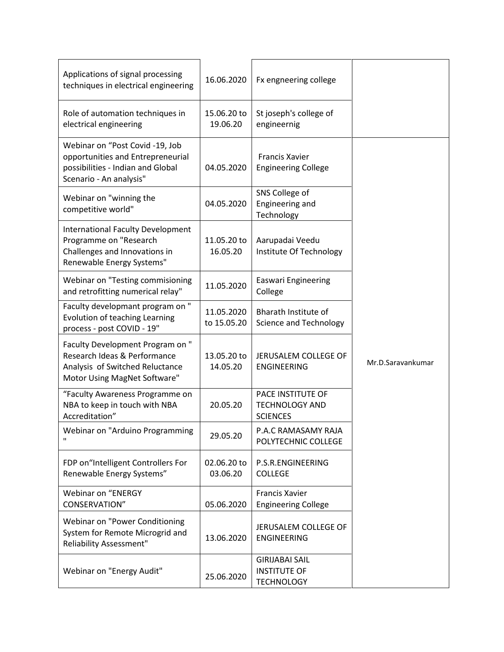| Applications of signal processing<br>techniques in electrical engineering                                                            | 16.06.2020                | Fx engneering college                                             |                   |
|--------------------------------------------------------------------------------------------------------------------------------------|---------------------------|-------------------------------------------------------------------|-------------------|
| Role of automation techniques in<br>electrical engineering                                                                           | 15.06.20 to<br>19.06.20   | St joseph's college of<br>engineernig                             |                   |
| Webinar on "Post Covid -19, Job<br>opportunities and Entrepreneurial<br>possibilities - Indian and Global<br>Scenario - An analysis" | 04.05.2020                | <b>Francis Xavier</b><br><b>Engineering College</b>               |                   |
| Webinar on "winning the<br>competitive world"                                                                                        | 04.05.2020                | SNS College of<br><b>Engineering and</b><br>Technology            |                   |
| <b>International Faculty Development</b><br>Programme on "Research<br>Challenges and Innovations in<br>Renewable Energy Systems"     | 11.05.20 to<br>16.05.20   | Aarupadai Veedu<br>Institute Of Technology                        |                   |
| Webinar on "Testing commisioning<br>and retrofitting numerical relay"                                                                | 11.05.2020                | <b>Easwari Engineering</b><br>College                             |                   |
| Faculty developmant program on "<br>Evolution of teaching Learning<br>process - post COVID - 19"                                     | 11.05.2020<br>to 15.05.20 | Bharath Institute of<br><b>Science and Technology</b>             |                   |
| Faculty Development Program on "<br>Research Ideas & Performance<br>Analysis of Switched Reluctance<br>Motor Using MagNet Software"  | 13.05.20 to<br>14.05.20   | JERUSALEM COLLEGE OF<br><b>ENGINEERING</b>                        | Mr.D.Saravankumar |
| "Faculty Awareness Programme on<br>NBA to keep in touch with NBA<br>Accreditation"                                                   | 20.05.20                  | PACE INSTITUTE OF<br><b>TECHNOLOGY AND</b><br><b>SCIENCES</b>     |                   |
| Webinar on "Arduino Programming                                                                                                      | 29.05.20                  | P.A.C RAMASAMY RAJA<br>POLYTECHNIC COLLEGE                        |                   |
| FDP on"Intelligent Controllers For<br>Renewable Energy Systems"                                                                      | 02.06.20 to<br>03.06.20   | P.S.R.ENGINEERING<br><b>COLLEGE</b>                               |                   |
| <b>Webinar on "ENERGY</b><br>CONSERVATION"                                                                                           | 05.06.2020                | Francis Xavier<br><b>Engineering College</b>                      |                   |
| Webinar on "Power Conditioning<br>System for Remote Microgrid and<br><b>Reliability Assessment"</b>                                  | 13.06.2020                | JERUSALEM COLLEGE OF<br><b>ENGINEERING</b>                        |                   |
| Webinar on "Energy Audit"                                                                                                            | 25.06.2020                | <b>GIRIJABAI SAIL</b><br><b>INSTITUTE OF</b><br><b>TECHNOLOGY</b> |                   |